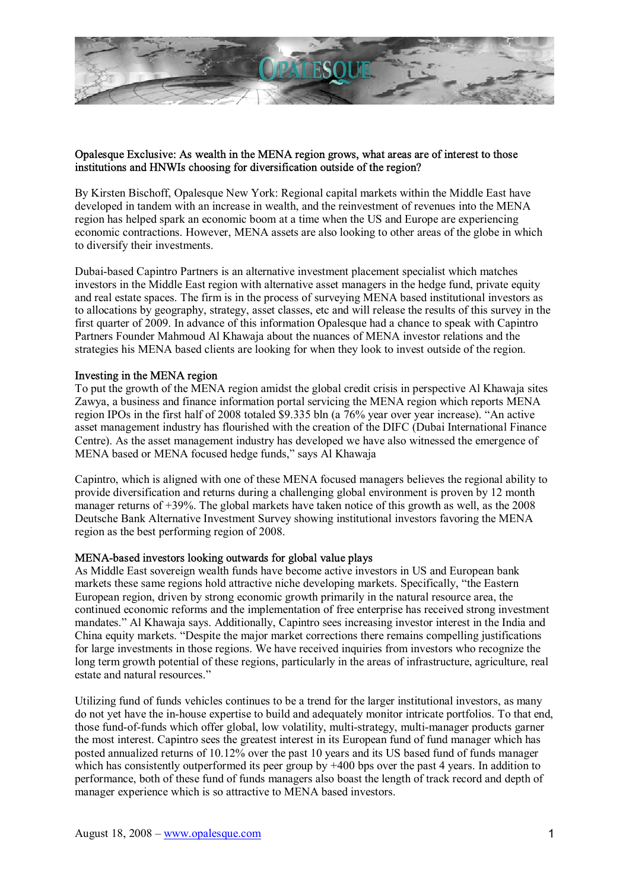

## Opalesque Exclusive: As wealth in the MENA region grows, what areas are of interest to those institutions and HNWIs choosing for diversification outside of the region?

By Kirsten Bischoff, Opalesque New York: Regional capital markets within the Middle East have developed in tandem with an increase in wealth, and the reinvestment of revenues into the MENA region has helped spark an economic boom at a time when the US and Europe are experiencing economic contractions. However, MENA assets are also looking to other areas of the globe in which to diversify their investments.

Dubai-based Capintro Partners is an alternative investment placement specialist which matches investors in the Middle East region with alternative asset managers in the hedge fund, private equity and real estate spaces. The firm is in the process of surveying MENA based institutional investors as to allocations by geography, strategy, asset classes, etc and will release the results of this survey in the first quarter of 2009. In advance of this information Opalesque had a chance to speak with Capintro Partners Founder Mahmoud Al Khawaja about the nuances of MENA investor relations and the strategies his MENA based clients are looking for when they look to invest outside of the region.

## Investing in the MENA region

To put the growth of the MENA region amidst the global credit crisis in perspective Al Khawaja sites Zawya, a business and finance information portal servicing the MENA region which reports MENA region IPOs in the first half of 2008 totaled  $$9.335$  bln (a  $76\%$  year over year increase). "An active asset management industry has flourished with the creation of the DIFC (Dubai International Finance Centre). As the asset management industry has developed we have also witnessed the emergence of MENA based or MENA focused hedge funds," says Al Khawaja

Capintro, which is aligned with one of these MENA focused managers believes the regional ability to provide diversification and returns during a challenging global environment is proven by 12 month manager returns of +39%. The global markets have taken notice of this growth as well, as the 2008 Deutsche Bank Alternative Investment Survey showing institutional investors favoring the MENA region as the best performing region of 2008.

## MENA-based investors looking outwards for global value plays

As Middle East sovereign wealth funds have become active investors in US and European bank markets these same regions hold attractive niche developing markets. Specifically, "the Eastern European region, driven by strong economic growth primarily in the natural resource area, the continued economic reforms and the implementation of free enterprise has received strong investment mandates." Al Khawaja says. Additionally, Capintro sees increasing investor interest in the India and China equity markets. "Despite the major market corrections there remains compelling justifications for large investments in those regions. We have received inquiries from investors who recognize the long term growth potential of these regions, particularly in the areas of infrastructure, agriculture, real estate and natural resources."

Utilizing fund of funds vehicles continues to be a trend for the larger institutional investors, as many do not yet have the in-house expertise to build and adequately monitor intricate portfolios. To that end, those fund-of-funds which offer global, low volatility, multi-strategy, multi-manager products garner the most interest. Capintro sees the greatest interest in its European fund of fund manager which has posted annualized returns of 10.12% over the past 10 years and its US based fund of funds manager which has consistently outperformed its peer group by  $+400$  bps over the past 4 years. In addition to performance, both of these fund of funds managers also boast the length of track record and depth of manager experience which is so attractive to MENA based investors.